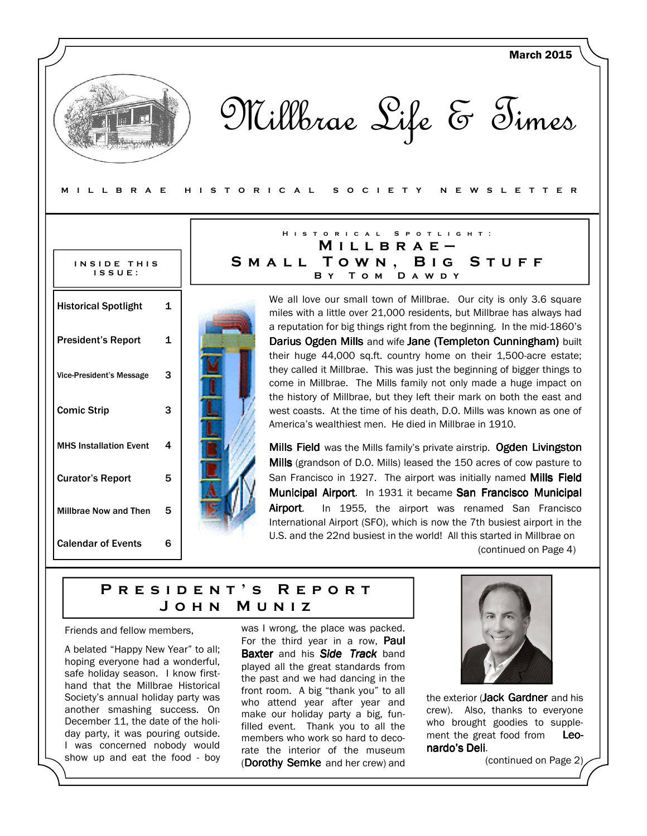M I L L B R A E H I S T O R I C A L S O C I E T Y N E W S L E T T E R

#### INSIDE THIS I S S U E :

| <b>Historical Spotlight</b>     | 1 |  |
|---------------------------------|---|--|
|                                 |   |  |
| <b>President's Report</b>       | 1 |  |
|                                 |   |  |
| <b>Vice-President's Message</b> | 3 |  |
|                                 |   |  |
| <b>Comic Strip</b>              | 3 |  |
|                                 |   |  |
| <b>MHS Installation Event</b>   | 4 |  |
|                                 |   |  |
| <b>Curator's Report</b>         | 5 |  |
| <b>Millbrae Now and Then</b>    | 5 |  |
|                                 |   |  |
| <b>Calendar of Events</b>       | 6 |  |
|                                 |   |  |

# H I S T O R I C A L S P O T L I G H T :  $M$  I L L B R A E  $-$ SMALL TOWN, BIG STUFF B Y TOM DAWDY

We all love our small town of Millbrae. Our city is only 3.6 square miles with a little over 21,000 residents, but Millbrae has always had a reputation for big things right from the beginning. In the mid-1860's Darius Ogden Mills and wife Jane (Templeton Cunningham) built their huge 44,000 sq.ft. country home on their 1,500-acre estate; they called it Millbrae. This was just the beginning of bigger things to come in Millbrae. The Mills family not only made a huge impact on the history of Millbrae, but they left their mark on both the east and west coasts. At the time of his death, D.O. Mills was known as one of America's wealthiest men. He died in Millbrae in 1910.

Mills Field was the Mills family's private airstrip. Ogden Livingston Mills (grandson of D.O. Mills) leased the 150 acres of cow pasture to San Francisco in 1927. The airport was initially named Mills Field Municipal Airport. In 1931 it became San Francisco Municipal Airport. In 1955, the airport was renamed San Francisco International Airport (SFO), which is now the 7th busiest airport in the U.S. and the 22nd busiest in the world! All this started in Millbrae on

(continued on Page 4)

March 2015

# PRESIDENT'S REPORT J o h n M u n i z

Friends and fellow members,

A belated "Happy New Year" to all; hoping everyone had a wonderful, safe holiday season. I know firsthand that the Millbrae Historical Society's annual holiday party was another smashing success. On December 11, the date of the holiday party, it was pouring outside. I was concerned nobody would show up and eat the food - boy

was I wrong, the place was packed. For the third year in a row, **Paul Baxter** and his **Side Track** band played all the great standards from the past and we had dancing in the front room. A big "thank you" to all who attend year after year and make our holiday party a big, funfilled event. Thank you to all the members who work so hard to decorate the interior of the museum (Dorothy Semke and her crew) and



the exterior (Jack Gardner and his crew). Also, thanks to everyone who brought goodies to supplement the great food from Leonardo's Deli.

(continued on Page 2)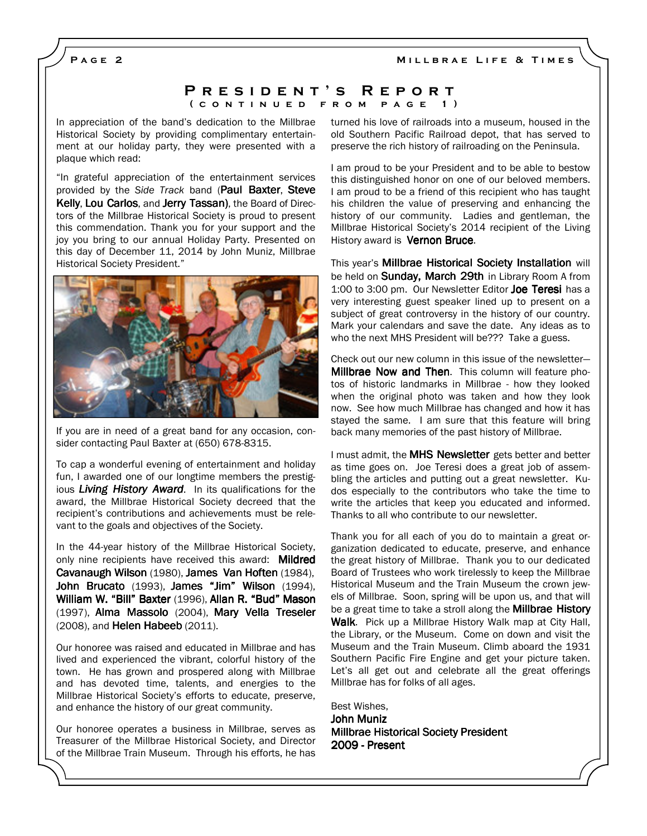MILLBRAE LIFE & TIMES

PAGE<sub>2</sub>

### P R E S I D E N T 'S R E P O R T ( c o n t i n u e d f r o m p a g e 1 )

In appreciation of the band's dedication to the Millbrae Historical Society by providing complimentary entertainment at our holiday party, they were presented with a plaque which read:

"In grateful appreciation of the entertainment services provided by the Side Track band (Paul Baxter, Steve Kelly, Lou Carlos, and Jerry Tassan), the Board of Directors of the Millbrae Historical Society is proud to present this commendation. Thank you for your support and the joy you bring to our annual Holiday Party. Presented on this day of December 11, 2014 by John Muniz, Millbrae Historical Society President."



If you are in need of a great band for any occasion, consider contacting Paul Baxter at (650) 678-8315.

To cap a wonderful evening of entertainment and holiday fun, I awarded one of our longtime members the prestigious Living History Award. In its qualifications for the award, the Millbrae Historical Society decreed that the recipient's contributions and achievements must be relevant to the goals and objectives of the Society.

In the 44-year history of the Millbrae Historical Society, only nine recipients have received this award: Mildred Cavanaugh Wilson (1980), James Van Hoften (1984), John Brucato (1993), James "Jim" Wilson (1994), William W. "Bill" Baxter (1996), Allan R. "Bud" Mason (1997), Alma Massolo (2004), Mary Vella Treseler (2008), and Helen Habeeb (2011).

Our honoree was raised and educated in Millbrae and has lived and experienced the vibrant, colorful history of the town. He has grown and prospered along with Millbrae and has devoted time, talents, and energies to the Millbrae Historical Society's efforts to educate, preserve, and enhance the history of our great community.

Our honoree operates a business in Millbrae, serves as Treasurer of the Millbrae Historical Society, and Director of the Millbrae Train Museum. Through his efforts, he has turned his love of railroads into a museum, housed in the old Southern Pacific Railroad depot, that has served to preserve the rich history of railroading on the Peninsula.

I am proud to be your President and to be able to bestow this distinguished honor on one of our beloved members. I am proud to be a friend of this recipient who has taught his children the value of preserving and enhancing the history of our community. Ladies and gentleman, the Millbrae Historical Society's 2014 recipient of the Living History award is **Vernon Bruce.** 

This year's Millbrae Historical Society Installation will be held on **Sunday, March 29th** in Library Room A from 1:00 to 3:00 pm. Our Newsletter Editor Joe Teresi has a very interesting guest speaker lined up to present on a subject of great controversy in the history of our country. Mark your calendars and save the date. Any ideas as to who the next MHS President will be??? Take a guess.

Check out our new column in this issue of the newsletter— Millbrae Now and Then. This column will feature photos of historic landmarks in Millbrae - how they looked when the original photo was taken and how they look now. See how much Millbrae has changed and how it has stayed the same. I am sure that this feature will bring back many memories of the past history of Millbrae.

I must admit, the MHS Newsletter gets better and better as time goes on. Joe Teresi does a great job of assembling the articles and putting out a great newsletter. Kudos especially to the contributors who take the time to write the articles that keep you educated and informed. Thanks to all who contribute to our newsletter.

Thank you for all each of you do to maintain a great organization dedicated to educate, preserve, and enhance the great history of Millbrae. Thank you to our dedicated Board of Trustees who work tirelessly to keep the Millbrae Historical Museum and the Train Museum the crown jewels of Millbrae. Soon, spring will be upon us, and that will be a great time to take a stroll along the **Millbrae History** Walk. Pick up a Millbrae History Walk map at City Hall, the Library, or the Museum. Come on down and visit the Museum and the Train Museum. Climb aboard the 1931 Southern Pacific Fire Engine and get your picture taken. Let's all get out and celebrate all the great offerings Millbrae has for folks of all ages.

Best Wishes, John Muniz Millbrae Historical Society President 2009 - Present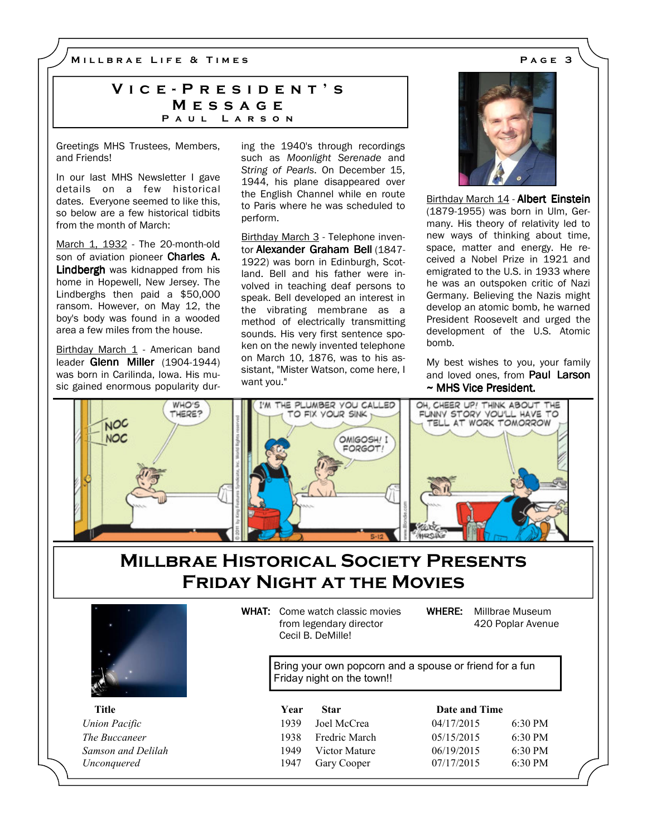M I L L B R A E L I F E & T I M E S A G E 3

# VICE - PRESIDENT'S **MESSAGE** PAUL LARSON

Greetings MHS Trustees, Members, and Friends!

In our last MHS Newsletter I gave details on a few historical dates. Everyone seemed to like this, so below are a few historical tidbits from the month of March:

March 1, 1932 - The 20-month-old son of aviation pioneer Charles A. Lindbergh was kidnapped from his home in Hopewell, New Jersey. The Lindberghs then paid a \$50,000 ransom. However, on May 12, the boy's body was found in a wooded area a few miles from the house.

Birthday March 1 - American band leader Glenn Miller (1904-1944) was born in Carilinda, Iowa. His music gained enormous popularity during the 1940's through recordings such as Moonlight Serenade and String of Pearls. On December 15, 1944, his plane disappeared over the English Channel while en route to Paris where he was scheduled to perform.

Birthday March 3 - Telephone inventor Alexander Graham Bell (1847- 1922) was born in Edinburgh, Scotland. Bell and his father were involved in teaching deaf persons to speak. Bell developed an interest in the vibrating membrane as a method of electrically transmitting sounds. His very first sentence spoken on the newly invented telephone on March 10, 1876, was to his assistant, "Mister Watson, come here, I want you."



Birthday March 14 - Albert Einstein (1879-1955) was born in Ulm, Germany. His theory of relativity led to new ways of thinking about time, space, matter and energy. He received a Nobel Prize in 1921 and emigrated to the U.S. in 1933 where he was an outspoken critic of Nazi Germany. Believing the Nazis might develop an atomic bomb, he warned President Roosevelt and urged the development of the U.S. Atomic bomb.

My best wishes to you, your family and loved ones, from Paul Larson  $\sim$  MHS Vice President.



# Millbrae Historical Society Presents Friday Night at the Movies



WHAT: Come watch classic movies from legendary director

Cecil B. DeMille!

WHERE: Millbrae Museum 420 Poplar Avenue

Bring your own popcorn and a spouse or friend for a fun Friday night on the town!!

Title Year Star Date and Time

|   | $\overline{\mathcal{L}}$ |
|---|--------------------------|
| h | $\overline{\mathcal{L}}$ |
| e | $\overline{\mathcal{L}}$ |
|   | ï                        |

| y ear | Star          | Date and Time                                      |                                        |
|-------|---------------|----------------------------------------------------|----------------------------------------|
| 1939. |               |                                                    | $6:30 \text{ PM}$                      |
| 1938  |               |                                                    | $6:30 \text{ PM}$                      |
| 1949  | Victor Mature | 06/19/2015                                         | $6:30 \text{ PM}$                      |
| 1947  |               |                                                    | $6:30 \text{ PM}$                      |
|       |               | Joel McCrea<br><b>Fredric March</b><br>Gary Cooper | 04/17/2015<br>05/15/2015<br>07/17/2015 |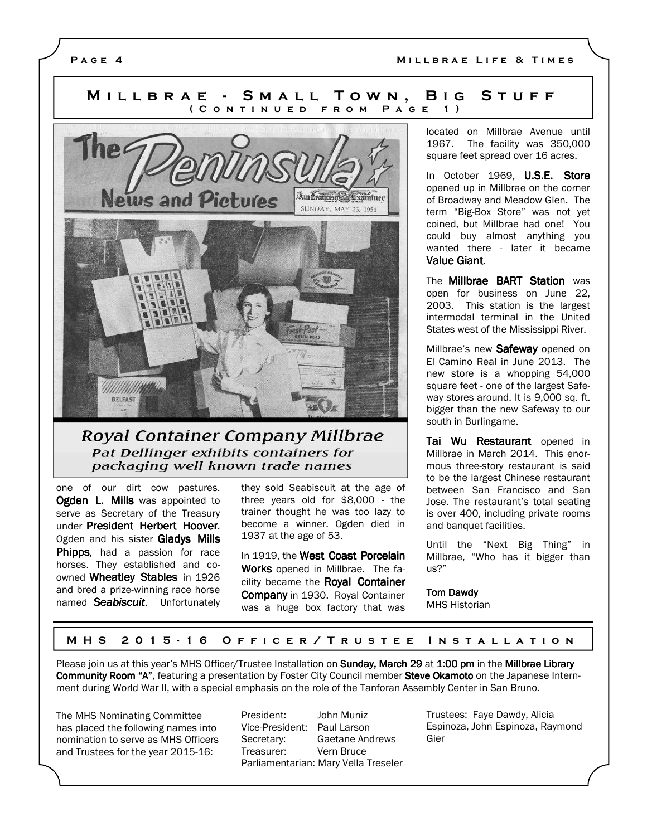# MILLBRAE - SMALL TOWN, BIG STUFF ( CONTINUED FROM PAGE 1)



# Royal Container Company Millbrae Pat Dellinger exhibits containers for packaging well known trade names

one of our dirt cow pastures. Ogden L. Mills was appointed to serve as Secretary of the Treasury under President Herbert Hoover. Ogden and his sister Gladys Mills Phipps, had a passion for race horses. They established and coowned Wheatley Stables in 1926 and bred a prize-winning race horse named Seabiscuit. Unfortunately they sold Seabiscuit at the age of three years old for \$8,000 - the trainer thought he was too lazy to become a winner. Ogden died in 1937 at the age of 53.

In 1919, the West Coast Porcelain Works opened in Millbrae. The facility became the Roval Container Company in 1930. Royal Container was a huge box factory that was located on Millbrae Avenue until 1967. The facility was 350,000 square feet spread over 16 acres.

In October 1969, U.S.E. Store opened up in Millbrae on the corner of Broadway and Meadow Glen. The term "Big-Box Store" was not yet coined, but Millbrae had one! You could buy almost anything you wanted there - later it became Value Giant.

The **Millbrae BART Station** was open for business on June 22, 2003. This station is the largest intermodal terminal in the United States west of the Mississippi River.

Millbrae's new Safeway opened on El Camino Real in June 2013. The new store is a whopping 54,000 square feet - one of the largest Safeway stores around. It is 9,000 sq. ft. bigger than the new Safeway to our south in Burlingame.

Tai Wu Restaurant opened in Millbrae in March 2014. This enormous three-story restaurant is said to be the largest Chinese restaurant between San Francisco and San Jose. The restaurant's total seating is over 400, including private rooms and banquet facilities.

Until the "Next Big Thing" in Millbrae, "Who has it bigger than us?"

#### **Tom Dawdy** MHS Historian

#### M H S 2015 - 16 O F F I C E R / T R U S T E E IN S T A L L A T I O N

Please join us at this year's MHS Officer/Trustee Installation on Sunday, March 29 at 1:00 pm in the Millbrae Library Community Room "A", featuring a presentation by Foster City Council member Steve Okamoto on the Japanese Internment during World War II, with a special emphasis on the role of the Tanforan Assembly Center in San Bruno.

The MHS Nominating Committee has placed the following names into nomination to serve as MHS Officers and Trustees for the year 2015-16:

President: John Muniz Vice-President: Paul Larson Secretary: Gaetane Andrews Treasurer: Vern Bruce Parliamentarian: Mary Vella Treseler Trustees: Faye Dawdy, Alicia Espinoza, John Espinoza, Raymond Gier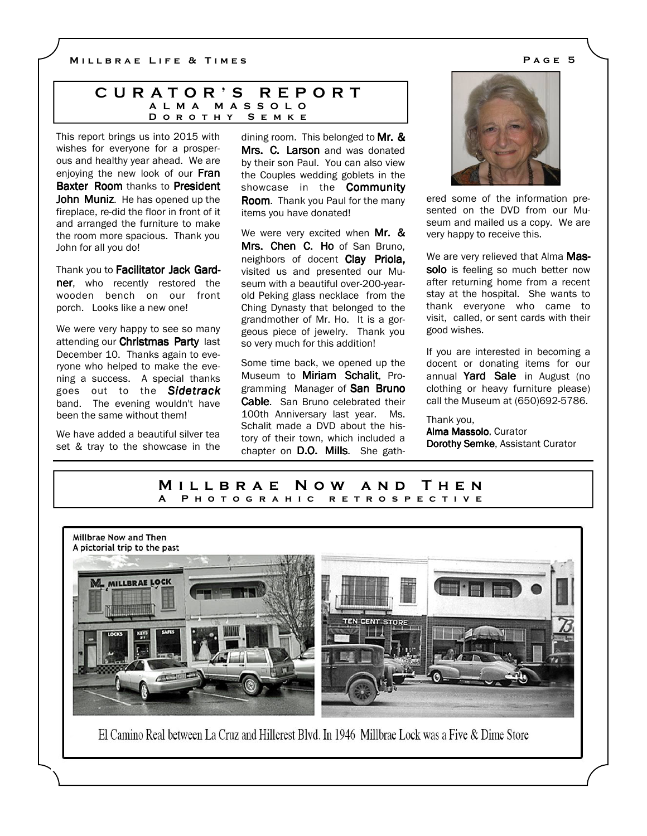### C U R A T O R ' S R E P O R T A L M A M A S S O L O D O R O T H Y S E M K E

This report brings us into 2015 with wishes for everyone for a prosperous and healthy year ahead. We are enjoying the new look of our Fran Baxter Room thanks to President John Muniz. He has opened up the fireplace, re-did the floor in front of it and arranged the furniture to make the room more spacious. Thank you John for all you do!

Thank you to Facilitator Jack Gardner, who recently restored the wooden bench on our front porch. Looks like a new one!

We were very happy to see so many attending our Christmas Party last December 10. Thanks again to everyone who helped to make the evening a success. A special thanks goes out to the Sidetrack band. The evening wouldn't have been the same without them!

We have added a beautiful silver tea set & tray to the showcase in the dining room. This belonged to Mr.  $\&$ Mrs. C. Larson and was donated by their son Paul. You can also view the Couples wedding goblets in the showcase in the **Community** Room. Thank you Paul for the many items you have donated!

We were very excited when Mr. & Mrs. Chen C. Ho of San Bruno, neighbors of docent Clay Priola, visited us and presented our Museum with a beautiful over-200-yearold Peking glass necklace from the Ching Dynasty that belonged to the grandmother of Mr. Ho. It is a gorgeous piece of jewelry. Thank you so very much for this addition!

Some time back, we opened up the Museum to Miriam Schalit, Programming Manager of San Bruno Cable. San Bruno celebrated their 100th Anniversary last year. Ms. Schalit made a DVD about the history of their town, which included a chapter on D.O. Mills. She gath-



ered some of the information presented on the DVD from our Museum and mailed us a copy. We are very happy to receive this.

We are very relieved that Alma Massolo is feeling so much better now after returning home from a recent stay at the hospital. She wants to thank everyone who came to visit, called, or sent cards with their good wishes.

If you are interested in becoming a docent or donating items for our annual Yard Sale in August (no clothing or heavy furniture please) call the Museum at (650)692-5786.

#### Thank you,

Alma Massolo, Curator Dorothy Semke, Assistant Curator

## M i l l b r a e N o w a n d T h e n A P H O T O G R A H I C R E T R O S P E C T I V E



El Camino Real between La Cruz and Hillcrest Blvd. In 1946 Millbrae Lock was a Five & Dime Store